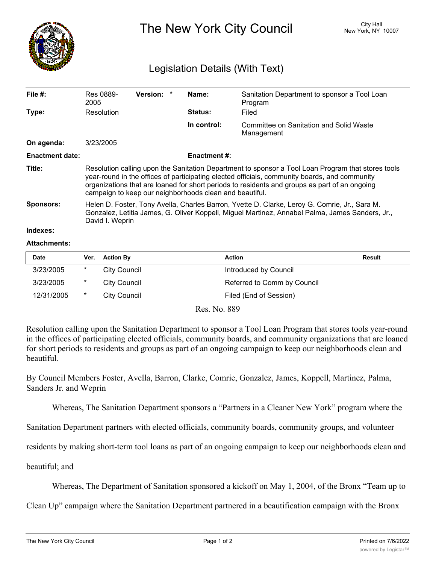

The New York City Council New York, NY 10007

## Legislation Details (With Text)

| File $#$ :             | Res 0889-<br>2005                                                                                                                                                                                                                                                                                                                                               | Version: * |  | Name:               | Sanitation Department to sponsor a Tool Loan<br>Program |
|------------------------|-----------------------------------------------------------------------------------------------------------------------------------------------------------------------------------------------------------------------------------------------------------------------------------------------------------------------------------------------------------------|------------|--|---------------------|---------------------------------------------------------|
| Type:                  | Resolution                                                                                                                                                                                                                                                                                                                                                      |            |  | <b>Status:</b>      | Filed                                                   |
|                        |                                                                                                                                                                                                                                                                                                                                                                 |            |  | In control:         | Committee on Sanitation and Solid Waste<br>Management   |
| On agenda:             | 3/23/2005                                                                                                                                                                                                                                                                                                                                                       |            |  |                     |                                                         |
| <b>Enactment date:</b> |                                                                                                                                                                                                                                                                                                                                                                 |            |  | <b>Enactment #:</b> |                                                         |
| Title:                 | Resolution calling upon the Sanitation Department to sponsor a Tool Loan Program that stores tools<br>year-round in the offices of participating elected officials, community boards, and community<br>organizations that are loaned for short periods to residents and groups as part of an ongoing<br>campaign to keep our neighborhoods clean and beautiful. |            |  |                     |                                                         |
| <b>Sponsors:</b>       | Helen D. Foster, Tony Avella, Charles Barron, Yvette D. Clarke, Leroy G. Comrie, Jr., Sara M.<br>Gonzalez, Letitia James, G. Oliver Koppell, Miguel Martinez, Annabel Palma, James Sanders, Jr.,<br>David I. Weprin                                                                                                                                             |            |  |                     |                                                         |
| Indexes:               |                                                                                                                                                                                                                                                                                                                                                                 |            |  |                     |                                                         |
| <b>Attachments:</b>    |                                                                                                                                                                                                                                                                                                                                                                 |            |  |                     |                                                         |

## $\blacksquare$  **Date Mathematic Structure (Proposition** of  $\blacksquare$  **Action Result** 3/23/2005 \* City Council Council Council introduced by Council 3/23/2005 \* City Council Referred to Comm by Council 12/31/2005 \* City Council **Filed (End of Session)**

Res. No. 889

Resolution calling upon the Sanitation Department to sponsor a Tool Loan Program that stores tools year-round in the offices of participating elected officials, community boards, and community organizations that are loaned for short periods to residents and groups as part of an ongoing campaign to keep our neighborhoods clean and beautiful.

By Council Members Foster, Avella, Barron, Clarke, Comrie, Gonzalez, James, Koppell, Martinez, Palma, Sanders Jr. and Weprin

Whereas, The Sanitation Department sponsors a "Partners in a Cleaner New York" program where the

Sanitation Department partners with elected officials, community boards, community groups, and volunteer

residents by making short-term tool loans as part of an ongoing campaign to keep our neighborhoods clean and

beautiful; and

Whereas, The Department of Sanitation sponsored a kickoff on May 1, 2004, of the Bronx "Team up to

Clean Up" campaign where the Sanitation Department partnered in a beautification campaign with the Bronx